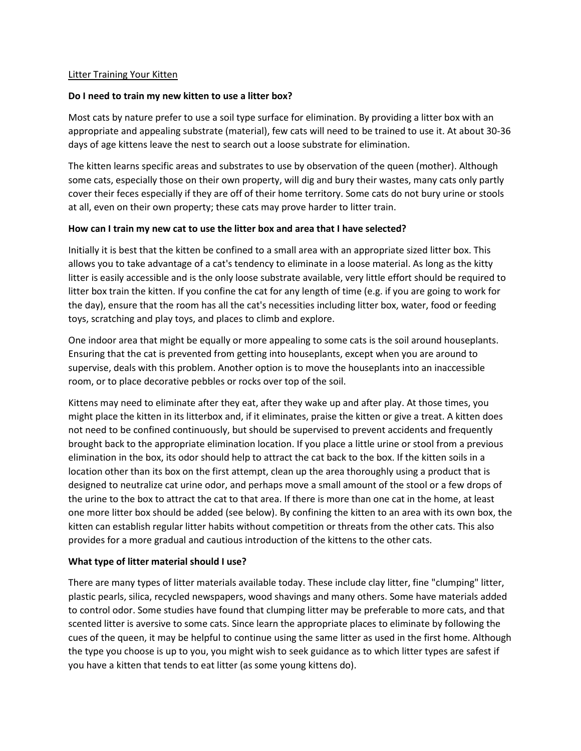### Litter Training Your Kitten

## **Do I need to train my new kitten to use a litter box?**

Most cats by nature prefer to use a soil type surface for elimination. By providing a litter box with an appropriate and appealing substrate (material), few cats will need to be trained to use it. At about 30-36 days of age kittens leave the nest to search out a loose substrate for elimination.

The kitten learns specific areas and substrates to use by observation of the queen (mother). Although some cats, especially those on their own property, will dig and bury their wastes, many cats only partly cover their feces especially if they are off of their home territory. Some cats do not bury urine or stools at all, even on their own property; these cats may prove harder to litter train.

## **How can I train my new cat to use the litter box and area that I have selected?**

Initially it is best that the kitten be confined to a small area with an appropriate sized litter box. This allows you to take advantage of a cat's tendency to eliminate in a loose material. As long as the kitty litter is easily accessible and is the only loose substrate available, very little effort should be required to litter box train the kitten. If you confine the cat for any length of time (e.g. if you are going to work for the day), ensure that the room has all the cat's necessities including litter box, water, food or feeding toys, scratching and play toys, and places to climb and explore.

One indoor area that might be equally or more appealing to some cats is the soil around houseplants. Ensuring that the cat is prevented from getting into houseplants, except when you are around to supervise, deals with this problem. Another option is to move the houseplants into an inaccessible room, or to place decorative pebbles or rocks over top of the soil.

Kittens may need to eliminate after they eat, after they wake up and after play. At those times, you might place the kitten in its litterbox and, if it eliminates, praise the kitten or give a treat. A kitten does not need to be confined continuously, but should be supervised to prevent accidents and frequently brought back to the appropriate elimination location. If you place a little urine or stool from a previous elimination in the box, its odor should help to attract the cat back to the box. If the kitten soils in a location other than its box on the first attempt, clean up the area thoroughly using a product that is designed to neutralize cat urine odor, and perhaps move a small amount of the stool or a few drops of the urine to the box to attract the cat to that area. If there is more than one cat in the home, at least one more litter box should be added (see below). By confining the kitten to an area with its own box, the kitten can establish regular litter habits without competition or threats from the other cats. This also provides for a more gradual and cautious introduction of the kittens to the other cats.

# **What type of litter material should I use?**

There are many types of litter materials available today. These include clay litter, fine "clumping" litter, plastic pearls, silica, recycled newspapers, wood shavings and many others. Some have materials added to control odor. Some studies have found that clumping litter may be preferable to more cats, and that scented litter is aversive to some cats. Since learn the appropriate places to eliminate by following the cues of the queen, it may be helpful to continue using the same litter as used in the first home. Although the type you choose is up to you, you might wish to seek guidance as to which litter types are safest if you have a kitten that tends to eat litter (as some young kittens do).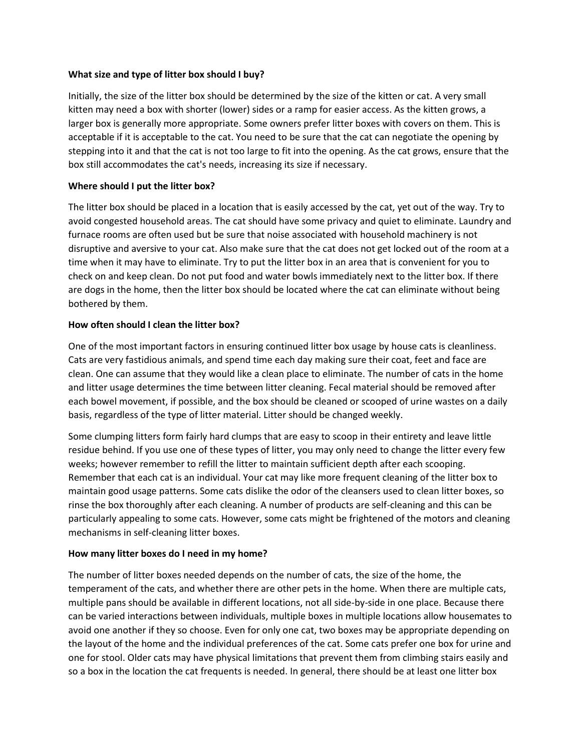## **What size and type of litter box should I buy?**

Initially, the size of the litter box should be determined by the size of the kitten or cat. A very small kitten may need a box with shorter (lower) sides or a ramp for easier access. As the kitten grows, a larger box is generally more appropriate. Some owners prefer litter boxes with covers on them. This is acceptable if it is acceptable to the cat. You need to be sure that the cat can negotiate the opening by stepping into it and that the cat is not too large to fit into the opening. As the cat grows, ensure that the box still accommodates the cat's needs, increasing its size if necessary.

# **Where should I put the litter box?**

The litter box should be placed in a location that is easily accessed by the cat, yet out of the way. Try to avoid congested household areas. The cat should have some privacy and quiet to eliminate. Laundry and furnace rooms are often used but be sure that noise associated with household machinery is not disruptive and aversive to your cat. Also make sure that the cat does not get locked out of the room at a time when it may have to eliminate. Try to put the litter box in an area that is convenient for you to check on and keep clean. Do not put food and water bowls immediately next to the litter box. If there are dogs in the home, then the litter box should be located where the cat can eliminate without being bothered by them.

# **How often should I clean the litter box?**

One of the most important factors in ensuring continued litter box usage by house cats is cleanliness. Cats are very fastidious animals, and spend time each day making sure their coat, feet and face are clean. One can assume that they would like a clean place to eliminate. The number of cats in the home and litter usage determines the time between litter cleaning. Fecal material should be removed after each bowel movement, if possible, and the box should be cleaned or scooped of urine wastes on a daily basis, regardless of the type of litter material. Litter should be changed weekly.

Some clumping litters form fairly hard clumps that are easy to scoop in their entirety and leave little residue behind. If you use one of these types of litter, you may only need to change the litter every few weeks; however remember to refill the litter to maintain sufficient depth after each scooping. Remember that each cat is an individual. Your cat may like more frequent cleaning of the litter box to maintain good usage patterns. Some cats dislike the odor of the cleansers used to clean litter boxes, so rinse the box thoroughly after each cleaning. A number of products are self-cleaning and this can be particularly appealing to some cats. However, some cats might be frightened of the motors and cleaning mechanisms in self-cleaning litter boxes.

# **How many litter boxes do I need in my home?**

The number of litter boxes needed depends on the number of cats, the size of the home, the temperament of the cats, and whether there are other pets in the home. When there are multiple cats, multiple pans should be available in different locations, not all side-by-side in one place. Because there can be varied interactions between individuals, multiple boxes in multiple locations allow housemates to avoid one another if they so choose. Even for only one cat, two boxes may be appropriate depending on the layout of the home and the individual preferences of the cat. Some cats prefer one box for urine and one for stool. Older cats may have physical limitations that prevent them from climbing stairs easily and so a box in the location the cat frequents is needed. In general, there should be at least one litter box